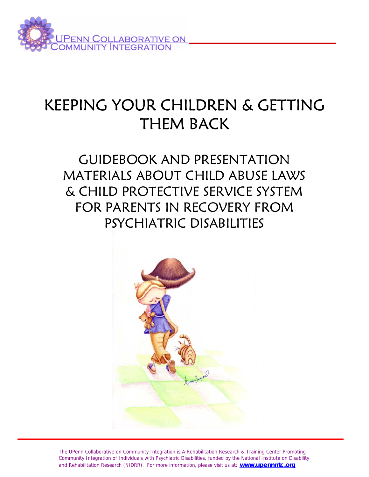

# KEEPING YOUR CHILDREN & GETTING THEM BACK

# GUIDEBOOK AND PRESENTATION MATERIALS ABOUT CHILD ABUSE LAWS & CHILD PROTECTIVE SERVICE SYSTEM FOR PARENTS IN RECOVERY FROM PSYCHIATRIC DISABILITIES



The UPenn Collaborative on Community Integration is A Rehabilitation Research & Training Center Promoting Community Integration of Individuals with Psychiatric Disabilities, funded by the National Institute on Disability and Rehabilitation Research (NIDRR). For more information, please visit us at: **www.upennrrtc.org**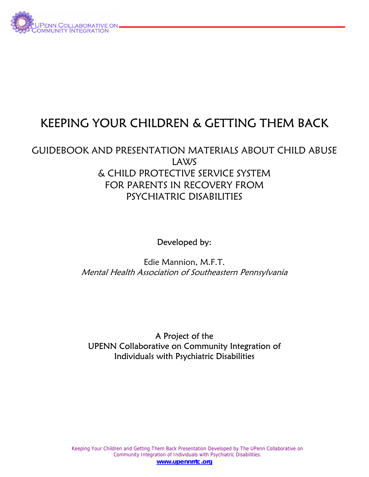

## KEEPING YOUR CHILDREN & GETTING THEM BACK

### GUIDEBOOK AND PRESENTATION MATERIALS ABOUT CHILD ABUSE LAWS & CHILD PROTECTIVE SERVICE SYSTEM FOR PARENTS IN RECOVERY FROM PSYCHIATRIC DISABILITIES

Developed by:

Edie Mannion, M.F.T. Mental Health Association of Southeastern Pennsylvania

A Project of the UPENN Collaborative on Community Integration of Individuals with Psychiatric Disabilities

Keeping Your Children and Getting Them Back Presentation Developed by The UPenn Collaborative on Community Integration of Individuals with Psychiatric Disabilities. **www.upennrrtc.org**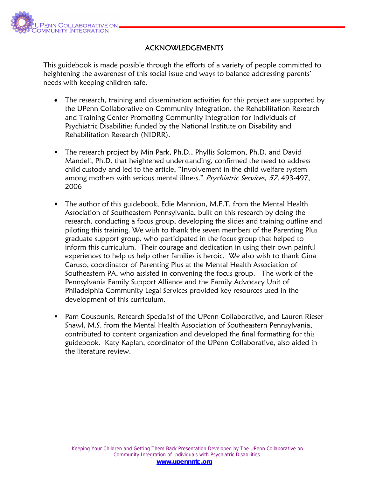

#### ACKNOWLEDGEMENTS

This guidebook is made possible through the efforts of a variety of people committed to heightening the awareness of this social issue and ways to balance addressing parents' needs with keeping children safe.

- The research, training and dissemination activities for this project are supported by the UPenn Collaborative on Community Integration, the Rehabilitation Research and Training Center Promoting Community Integration for Individuals of Psychiatric Disabilities funded by the National Institute on Disability and Rehabilitation Research (NIDRR).
- The research project by Min Park, Ph.D., Phyllis Solomon, Ph.D. and David Mandell, Ph.D. that heightened understanding, confirmed the need to address child custody and led to the article, "Involvement in the child welfare system among mothers with serious mental illness." Psychiatric Services, 57, 493-497, 2006
- **The author of this guidebook, Edie Mannion, M.F.T. from the Mental Health** Association of Southeastern Pennsylvania, built on this research by doing the research, conducting a focus group, developing the slides and training outline and piloting this training. We wish to thank the seven members of the Parenting Plus graduate support group, who participated in the focus group that helped to inform this curriculum. Their courage and dedication in using their own painful experiences to help us help other families is heroic. We also wish to thank Gina Caruso, coordinator of Parenting Plus at the Mental Health Association of Southeastern PA, who assisted in convening the focus group. The work of the Pennsylvania Family Support Alliance and the Family Advocacy Unit of Philadelphia Community Legal Services provided key resources used in the development of this curriculum.
- Pam Cousounis, Research Specialist of the UPenn Collaborative, and Lauren Rieser Shawl, M.S. from the Mental Health Association of Southeastern Pennsylvania, contributed to content organization and developed the final formatting for this guidebook. Katy Kaplan, coordinator of the UPenn Collaborative, also aided in the literature review.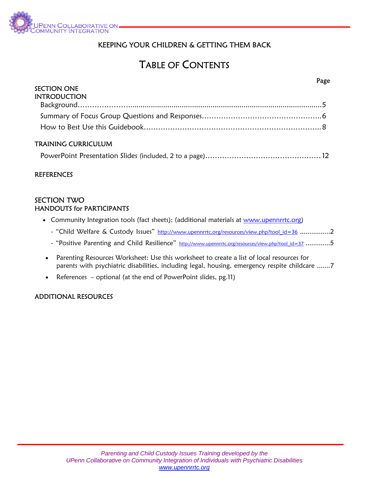

#### KEEPING YOUR CHILDREN & GETTING THEM BACK

i.

### TABLE OF CONTENTS

|                     | raxe |
|---------------------|------|
| <b>SECTION ONE</b>  |      |
| <b>INTRODUCTION</b> |      |
|                     |      |
|                     |      |
|                     |      |
| TRAINING CURRICULUM |      |

|--|

#### **REFERENCES**

#### SECTION TWO HANDOUTS for PARTICIPANTS

- Community Integration tools (fact sheets): (additional materials at www.upennrrtc.org)
	- "Child Welfare & Custody Issues" http://www.upennrrtc.org/resources/view.php?tool\_id=36 ................2
	- "Positive Parenting and Child Resilience" http://www.upennrrtc.org/resources/view.php?tool\_id=37 .............5
- Parenting Resources Worksheet: Use this worksheet to create a list of local resources for parents with psychiatric disabilities, including legal, housing, emergency respite childcare .......7
- References optional (at the end of PowerPoint slides, pg.11)

#### ADDITIONAL RESOURCES

#### Page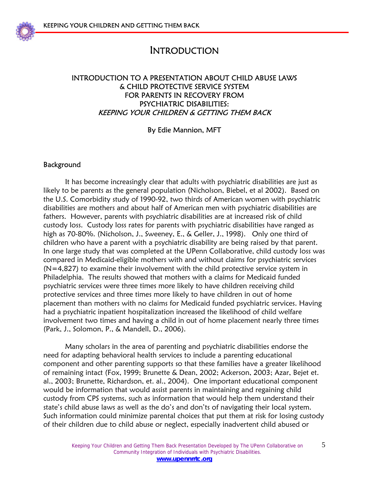

### INTRODUCTION

#### INTRODUCTION TO A PRESENTATION ABOUT CHILD ABUSE LAWS & CHILD PROTECTIVE SERVICE SYSTEM FOR PARENTS IN RECOVERY FROM PSYCHIATRIC DISABILITIES: KEEPING YOUR CHILDREN & GETTING THEM BACK

#### By Edie Mannion, MFT

#### Background

 It has become increasingly clear that adults with psychiatric disabilities are just as likely to be parents as the general population (Nicholson, Biebel, et al 2002). Based on the U.S. Comorbidity study of 1990-92, two thirds of American women with psychiatric disabilities are mothers and about half of American men with psychiatric disabilities are fathers. However, parents with psychiatric disabilities are at increased risk of child custody loss. Custody loss rates for parents with psychiatric disabilities have ranged as high as 70-80%. (Nicholson, J., Sweeney, E., & Geller, J., 1998). Only one third of children who have a parent with a psychiatric disability are being raised by that parent. In one large study that was completed at the UPenn Collaborative, child custody loss was compared in Medicaid-eligible mothers with and without claims for psychiatric services  $(N=4,827)$  to examine their involvement with the child protective service system in Philadelphia. The results showed that mothers with a claims for Medicaid funded psychiatric services were three times more likely to have children receiving child protective services and three times more likely to have children in out of home placement than mothers with no claims for Medicaid funded psychiatric services. Having had a psychiatric inpatient hospitalization increased the likelihood of child welfare involvement two times and having a child in out of home placement nearly three times (Park, J., Solomon, P., & Mandell, D., 2006).

 Many scholars in the area of parenting and psychiatric disabilities endorse the need for adapting behavioral health services to include a parenting educational component and other parenting supports so that these families have a greater likelihood of remaining intact (Fox, 1999; Brunette & Dean, 2002; Ackerson, 2003; Azar, Bejet et. al., 2003; Brunette, Richardson, et. al., 2004). One important educational component would be information that would assist parents in maintaining and regaining child custody from CPS systems, such as information that would help them understand their state's child abuse laws as well as the do's and don'ts of navigating their local system. Such information could minimize parental choices that put them at risk for losing custody of their children due to child abuse or neglect, especially inadvertent child abused or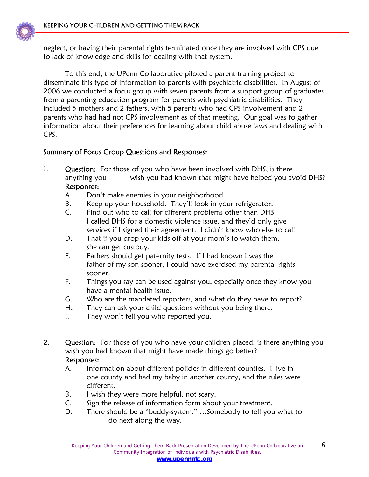

neglect, or having their parental rights terminated once they are involved with CPS due to lack of knowledge and skills for dealing with that system.

 To this end, the UPenn Collaborative piloted a parent training project to disseminate this type of information to parents with psychiatric disabilities. In August of 2006 we conducted a focus group with seven parents from a support group of graduates from a parenting education program for parents with psychiatric disabilities. They included 5 mothers and 2 fathers, with 5 parents who had CPS involvement and 2 parents who had had not CPS involvement as of that meeting. Our goal was to gather information about their preferences for learning about child abuse laws and dealing with CPS.

#### Summary of Focus Group Questions and Responses:

- 1. Question: For those of you who have been involved with DHS, is there anything you wish you had known that might have helped you avoid DHS? Responses:
	- A. Don't make enemies in your neighborhood.
	- B. Keep up your household. They'll look in your refrigerator.
	- C. Find out who to call for different problems other than DHS. I called DHS for a domestic violence issue, and they'd only give services if I signed their agreement. I didn't know who else to call.
	- D. That if you drop your kids off at your mom's to watch them, she can get custody.
	- E. Fathers should get paternity tests. If I had known I was the father of my son sooner, I could have exercised my parental rights sooner.
	- F. Things you say can be used against you, especially once they know you have a mental health issue.
	- G. Who are the mandated reporters, and what do they have to report?
	- H. They can ask your child questions without you being there.
	- I. They won't tell you who reported you.
- 2. Question: For those of you who have your children placed, is there anything you wish you had known that might have made things go better?

#### Responses:

- A. Information about different policies in different counties. I live in one county and had my baby in another county, and the rules were different.
- B. I wish they were more helpful, not scary.
- C. Sign the release of information form about your treatment.
- D. There should be a "buddy-system." …Somebody to tell you what to do next along the way.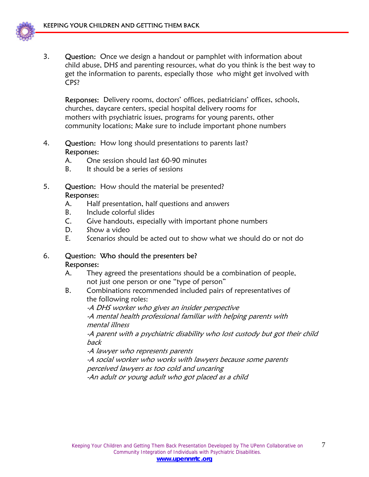

3. Question: Once we design a handout or pamphlet with information about child abuse, DHS and parenting resources, what do you think is the best way to get the information to parents, especially those who might get involved with CPS?

 Responses: Delivery rooms, doctors' offices, pediatricians' offices, schools, churches, daycare centers, special hospital delivery rooms for mothers with psychiatric issues, programs for young parents, other community locations; Make sure to include important phone numbers

- 4. Question: How long should presentations to parents last? Responses:
	- A. One session should last 60-90 minutes
	- B. It should be a series of sessions
- 5. Question: How should the material be presented? Responses:
	- A. Half presentation, half questions and answers
	- B. Include colorful slides
	- C. Give handouts, especially with important phone numbers
	- D. Show a video
	- E. Scenarios should be acted out to show what we should do or not do

#### 6. Question: Who should the presenters be? Responses:

- A. They agreed the presentations should be a combination of people, not just one person or one "type of person"
- B. Combinations recommended included pairs of representatives of the following roles:

 -A DHS worker who gives an insider perspective -A mental health professional familiar with helping parents with mental illness

 -A parent with a psychiatric disability who lost custody but got their child back

-A lawyer who represents parents

 -A social worker who works with lawyers because some parents perceived lawyers as too cold and uncaring

-An adult or young adult who got placed as a child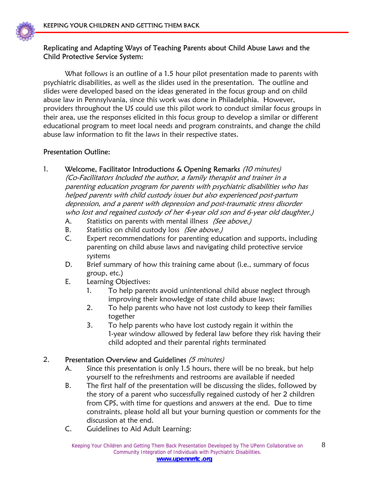

#### Replicating and Adapting Ways of Teaching Parents about Child Abuse Laws and the Child Protective Service System:

What follows is an outline of a 1.5 hour pilot presentation made to parents with psychiatric disabilities, as well as the slides used in the presentation. The outline and slides were developed based on the ideas generated in the focus group and on child abuse law in Pennsylvania, since this work was done in Philadelphia. However, providers throughout the US could use this pilot work to conduct similar focus groups in their area, use the responses elicited in this focus group to develop a similar or different educational program to meet local needs and program constraints, and change the child abuse law information to fit the laws in their respective states.

#### Presentation Outline:

- 1. Welcome, Facilitator Introductions & Opening Remarks (10 minutes) (Co-Facilitators Included the author, a family therapist and trainer in a parenting education program for parents with psychiatric disabilities who has helped parents with child custody issues but also experienced post-partum depression, and a parent with depression and post-traumatic stress disorder who lost and regained custody of her 4-year old son and 6-year old daughter.)
	- A. Statistics on parents with mental illness (See above.)
	- B. Statistics on child custody loss (See above.)
	- C. Expert recommendations for parenting education and supports, including parenting on child abuse laws and navigating child protective service systems
	- D. Brief summary of how this training came about (i.e., summary of focus group, etc.)
	- E. Learning Objectives:
		- 1. To help parents avoid unintentional child abuse neglect through improving their knowledge of state child abuse laws;
		- 2. To help parents who have not lost custody to keep their families together
		- 3. To help parents who have lost custody regain it within the 1-year window allowed by federal law before they risk having their child adopted and their parental rights terminated

#### 2. Presentation Overview and Guidelines (5 minutes)

- A. Since this presentation is only 1.5 hours, there will be no break, but help yourself to the refreshments and restrooms are available if needed
- B. The first half of the presentation will be discussing the slides, followed by the story of a parent who successfully regained custody of her 2 children from CPS, with time for questions and answers at the end. Due to time constraints, please hold all but your burning question or comments for the discussion at the end.
- C. Guidelines to Aid Adult Learning: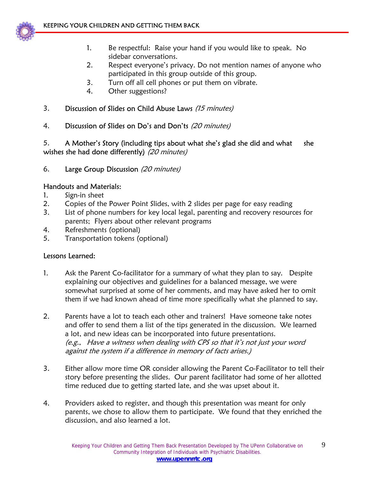

- 1. Be respectful: Raise your hand if you would like to speak. No sidebar conversations.
- 2. Respect everyone's privacy. Do not mention names of anyone who participated in this group outside of this group.
- 3. Turn off all cell phones or put them on vibrate.
- 4. Other suggestions?

#### 3. Discussion of Slides on Child Abuse Laws (15 minutes)

4. Discussion of Slides on Do's and Don'ts (20 minutes)

5. A Mother's Story (including tips about what she's glad she did and what she wishes she had done differently) (20 minutes)

6. Large Group Discussion (20 minutes)

#### Handouts and Materials:

- 1. Sign-in sheet
- 2. Copies of the Power Point Slides, with 2 slides per page for easy reading
- 3. List of phone numbers for key local legal, parenting and recovery resources for parents; Flyers about other relevant programs
- 4. Refreshments (optional)
- 5. Transportation tokens (optional)

#### Lessons Learned:

- 1. Ask the Parent Co-facilitator for a summary of what they plan to say. Despite explaining our objectives and guidelines for a balanced message, we were somewhat surprised at some of her comments, and may have asked her to omit them if we had known ahead of time more specifically what she planned to say.
- 2. Parents have a lot to teach each other and trainers! Have someone take notes and offer to send them a list of the tips generated in the discussion. We learned a lot, and new ideas can be incorporated into future presentations. (e.g., Have a witness when dealing with CPS so that it's not just your word against the system if a difference in memory of facts arises.)
- 3. Either allow more time OR consider allowing the Parent Co-Facilitator to tell their story before presenting the slides. Our parent facilitator had some of her allotted time reduced due to getting started late, and she was upset about it.
- 4. Providers asked to register, and though this presentation was meant for only parents, we chose to allow them to participate. We found that they enriched the discussion, and also learned a lot.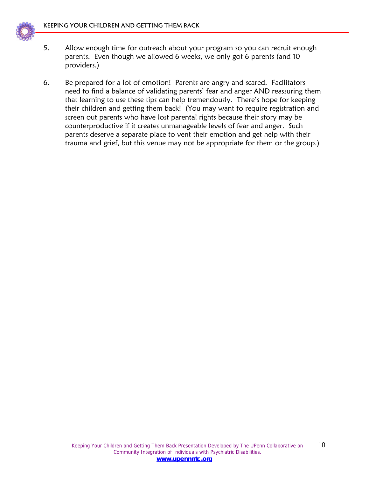

- 5. Allow enough time for outreach about your program so you can recruit enough parents. Even though we allowed 6 weeks, we only got 6 parents (and 10 providers.)
- 6. Be prepared for a lot of emotion! Parents are angry and scared. Facilitators need to find a balance of validating parents' fear and anger AND reassuring them that learning to use these tips can help tremendously. There's hope for keeping their children and getting them back! (You may want to require registration and screen out parents who have lost parental rights because their story may be counterproductive if it creates unmanageable levels of fear and anger. Such parents deserve a separate place to vent their emotion and get help with their trauma and grief, but this venue may not be appropriate for them or the group.)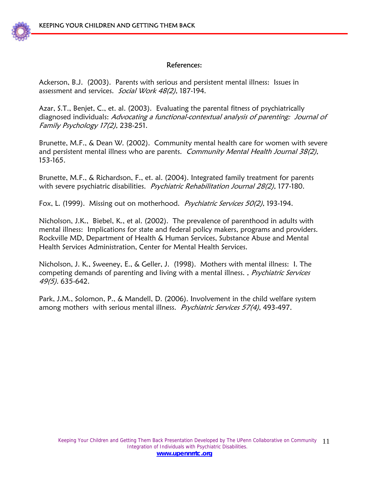

#### References:

Ackerson, B.J. (2003). Parents with serious and persistent mental illness: Issues in assessment and services. Social Work 48(2), 187-194.

Azar, S.T., Benjet, C., et. al. (2003). Evaluating the parental fitness of psychiatrically diagnosed individuals: Advocating a functional-contextual analysis of parenting: Journal of Family Psychology 17(2), 238-251.

Brunette, M.F., & Dean W. (2002). Community mental health care for women with severe and persistent mental illness who are parents. Community Mental Health Journal 38(2), 153-165.

Brunette, M.F., & Richardson, F., et. al. (2004). Integrated family treatment for parents with severe psychiatric disabilities. *Psychiatric Rehabilitation Journal 28(2)*, 177-180.

Fox, L. (1999). Missing out on motherhood. *Psychiatric Services 50(2)*, 193-194.

Nicholson, J.K., Biebel, K., et al. (2002). The prevalence of parenthood in adults with mental illness: Implications for state and federal policy makers, programs and providers. Rockville MD, Department of Health & Human Services, Substance Abuse and Mental Health Services Administration, Center for Mental Health Services.

Nicholson, J. K., Sweeney, E., & Geller, J. (1998). Mothers with mental illness: I. The competing demands of parenting and living with a mental illness., *Psychiatric Services* 49(5). 635-642.

Park, J.M., Solomon, P., & Mandell, D. (2006). Involvement in the child welfare system among mothers with serious mental illness. Psychiatric Services 57(4), 493-497.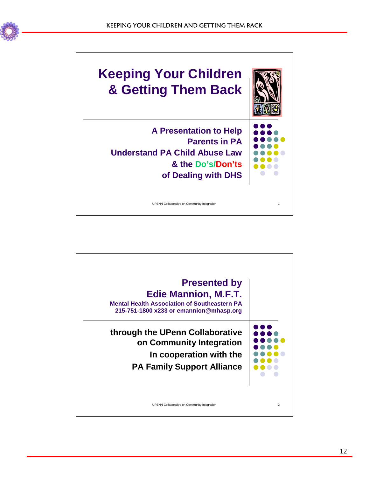



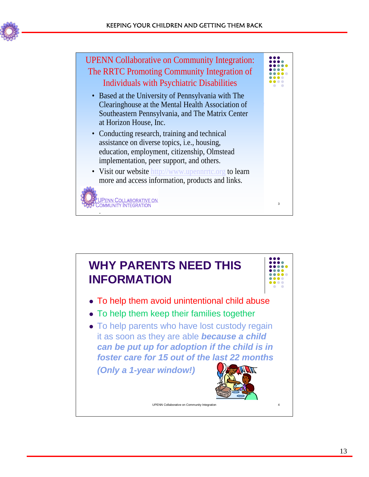



UPENN Collaborative on Collaborative on Collaborative on Collaborative on Collaborative on Collaborative on Co



- To help them avoid unintentional child abuse
- To help them keep their families together
- To help parents who have lost custody regain it as soon as they are able *because a child can be put up for adoption if the child is in foster care for 15 out of the last 22 months*

*(Only a 1-year window!)* 

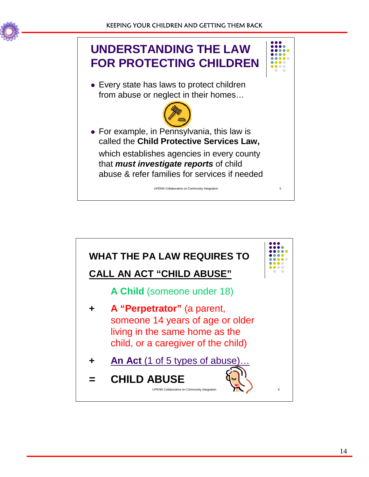





• For example, in Pennsylvania, this law is called the **Child Protective Services Law,** which establishes agencies in every county that *must investigate reports* of child abuse & refer families for services if needed

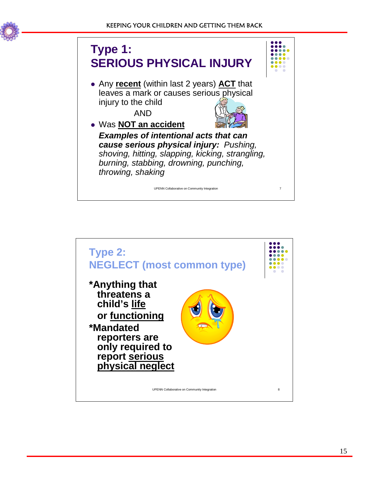



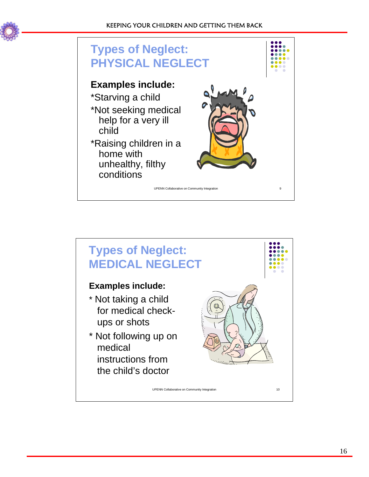



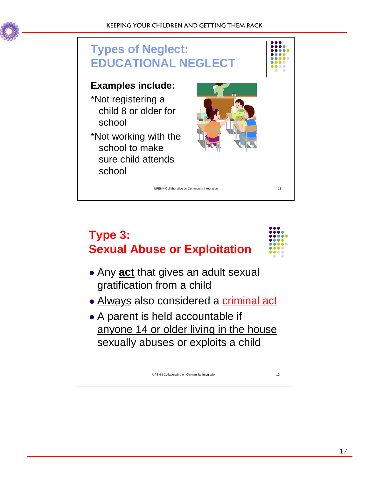



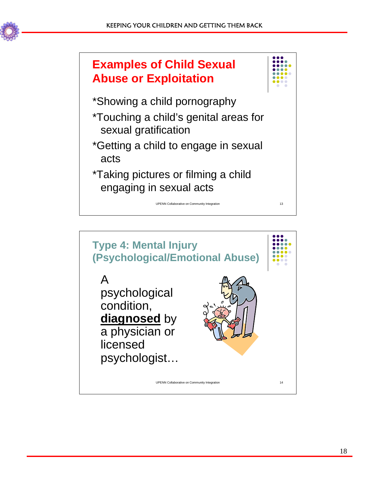



\*Showing a child pornography

- \*Touching a child's genital areas for sexual gratification
- \*Getting a child to engage in sexual acts
- \*Taking pictures or filming a child engaging in sexual acts

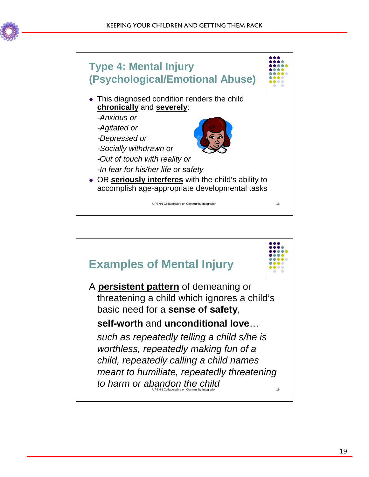



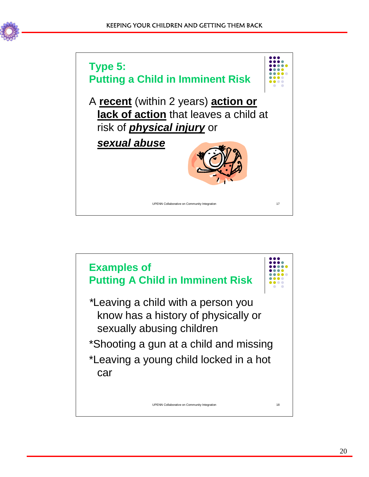

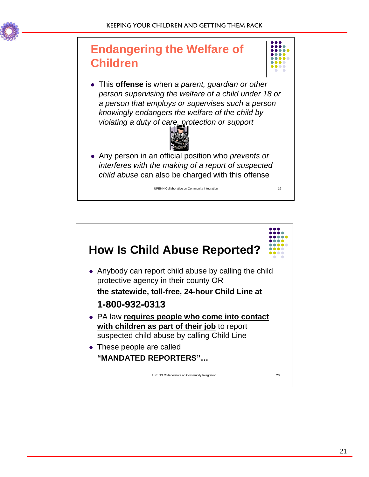

## **Endangering the Welfare of Children**



• This **offense** is when *a parent, guardian or other person supervising the welfare of a child under 18 or a person that employs or supervises such a person knowingly endangers the welfare of the child by violating a duty of care, protection or support*



• Any person in an official position who *prevents or interferes with the making of a report of suspected child abuse* can also be charged with this offense

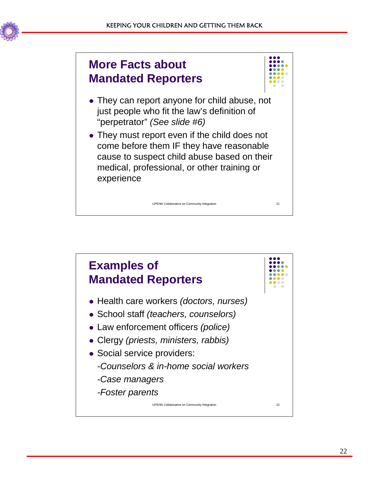## **More Facts about Mandated Reporters**



- They can report anyone for child abuse, not just people who fit the law's definition of "perpetrator" *(See slide #6)*
- They must report even if the child does not come before them IF they have reasonable cause to suspect child abuse based on their medical, professional, or other training or experience

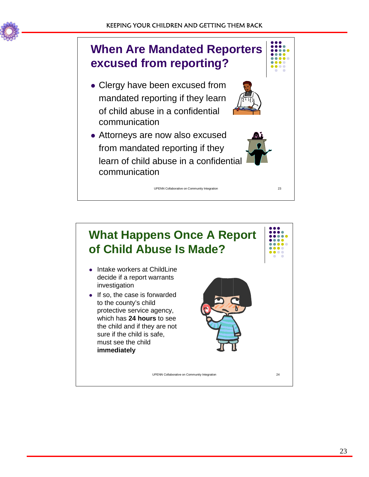

# **When Are Mandated Reporters excused from reporting?**

- Clergy have been excused from mandated reporting if they learn of child abuse in a confidential communication
- Attorneys are now also excused from mandated reporting if they learn of child abuse in a confidential communication



## **What Happens Once A Report of Child Abuse Is Made?**

- Intake workers at ChildLine decide if a report warrants investigation
- $\bullet$  If so, the case is forwarded to the county's child protective service agency, which has **24 hours** to see the child and if they are not sure if the child is safe, must see the child **immediately**

UPENN Collaborative on Community Integration 23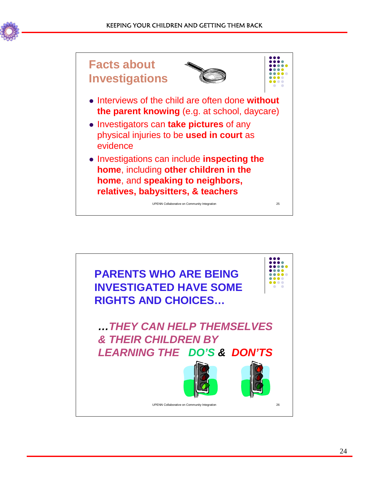

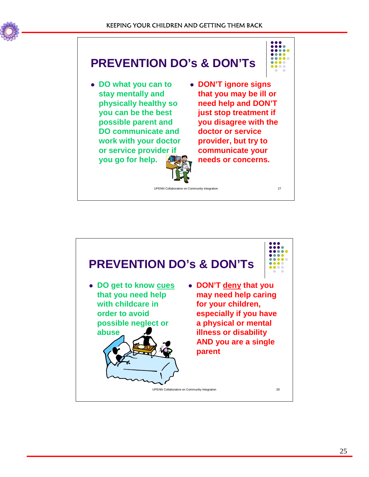

## **PREVENTION DO's & DON'Ts**

<sup>z</sup> **DO what you can to stay mentally and physically healthy so you can be the best possible parent and DO communicate and work with your doctor or service provider if you go for help.**



<sup>z</sup> **DON'T ignore signs that you may be ill or need help and DON'T just stop treatment if you disagree with the doctor or service provider, but try to communicate your needs or concerns.**

UPENN Collaborative on Community Integration 27

UPENN Collaborative on Community Integration 28 **PREVENTION DO's & DON'Ts** • DO get to know cues **that you need help with childcare in order to avoid possible neglect or abuse** <sup>z</sup> **DON'T deny that you may need help caring for your children, especially if you have a physical or mental illness or disability AND you are a single parent**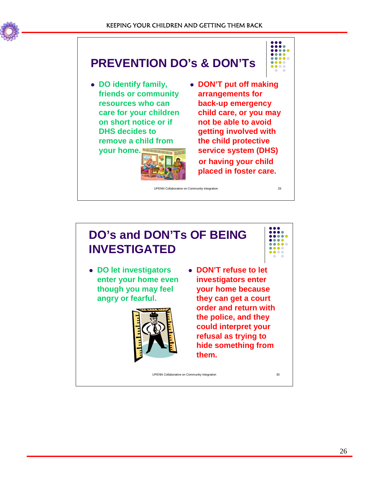

# **PREVENTION DO's & DON'Ts**

• DO identify family, **friends or community resources who can care for your children on short notice or if DHS decides to remove a child from** 

**your home.**

- 
- **DON'T put off making arrangements for back-up emergency child care, or you may not be able to avoid getting involved with the child protective service system (DHS) or having your child placed in foster care.**

UPENN Collaborative on Community Integration 29

### **DO's and DON'Ts OF BEING INVESTIGATED**

<sup>z</sup> **DO let investigators enter your home even though you may feel angry or fearful.**



<sup>z</sup> **DON'T refuse to let investigators enter your home because they can get a court order and return with the police, and they could interpret your refusal as trying to hide something from them.**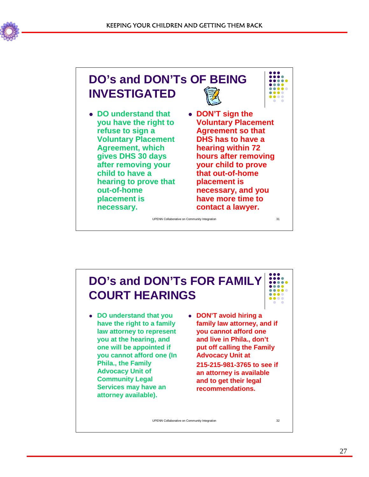



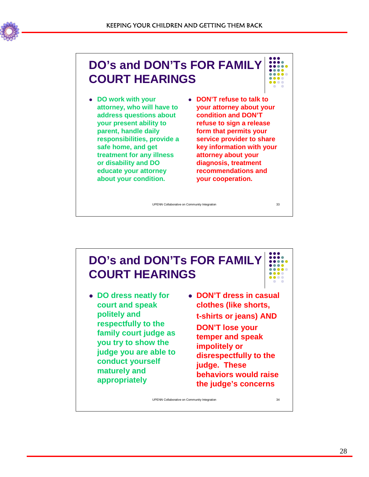

## **DO's and DON'Ts FOR FAMILY COURT HEARINGS**

- <sup>z</sup> **DO work with your attorney, who will have to address questions about your present ability to parent, handle daily responsibilities, provide a safe home, and get treatment for any illness or disability and DO educate your attorney about your condition.**
- <sup>z</sup> **DON'T refuse to talk to your attorney about your condition and DON'T refuse to sign a release form that permits your service provider to share key information with your attorney about your diagnosis, treatment recommendations and your cooperation.**

UPENN Collaborative on Community Integration 33

## **DO's and DON'Ts FOR FAMILY COURT HEARINGS**

- **DO dress neatly for court and speak politely and respectfully to the family court judge as you try to show the judge you are able to conduct yourself maturely and appropriately**
- <sup>z</sup> **DON'T dress in casual clothes (like shorts, t-shirts or jeans) AND DON'T lose your temper and speak impolitely or disrespectfully to the judge. These behaviors would raise the judge's concerns**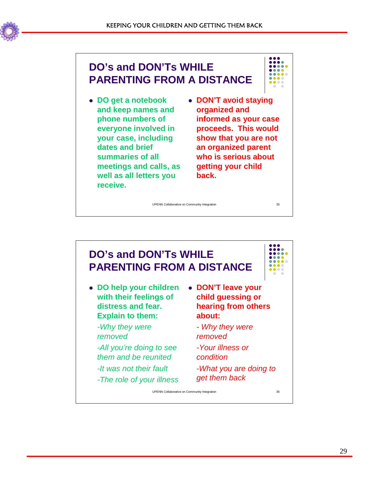

### **DO's and DON'Ts WHILE PARENTING FROM A DISTANCE**

<sup>z</sup> **DO get a notebook and keep names and phone numbers of everyone involved in your case, including** 

**dates and brief summaries of all** 

**receive.** 

**well as all letters you** 



**meetings and calls, as • DON'T avoid staying organized and informed as your case proceeds. This would show that you are not an organized parent who is serious about getting your child back.**

UPENN Collaborative on Community Integration 35

**DO's and DON'Ts WHILE PARENTING FROM A DISTANCE • DO help your children with their feelings of distress and fear. Explain to them:** *-Why they were removed -All you're doing to see them and be reunited -It was not their fault -The role of your illness* <sup>z</sup> **DON'T leave your child guessing or hearing from others about:** *- Why they were removed -Your illness or condition -What you are doing to get them back*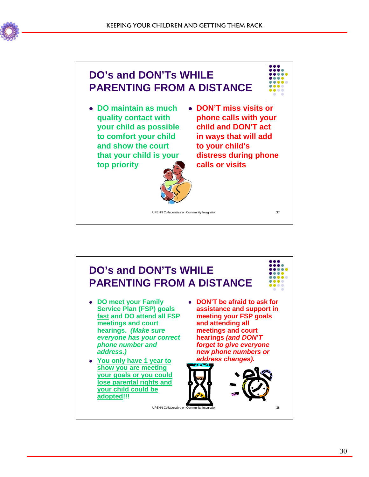



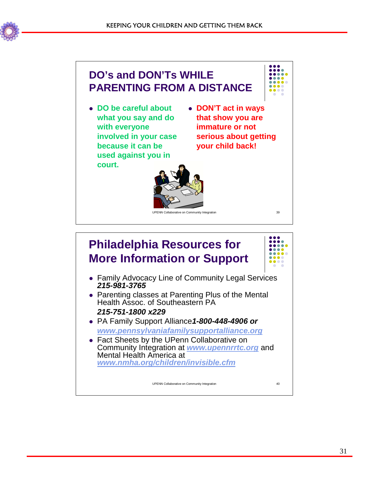



## **Philadelphia Resources for More Information or Support**

- Family Advocacy Line of Community Legal Services *215-981-3765*
- Parenting classes at Parenting Plus of the Mental Health Assoc. of Southeastern PA *215-751-1800 x229*
- <sup>z</sup> PA Family Support Alliance*1-800-448-4906 or www.pennsylvaniafamilysupportalliance.org*
- Fact Sheets by the UPenn Collaborative on Community Integration at *www.upennrrtc.org* and Mental Health America at *www.nmha.org/children/invisible.cfm*